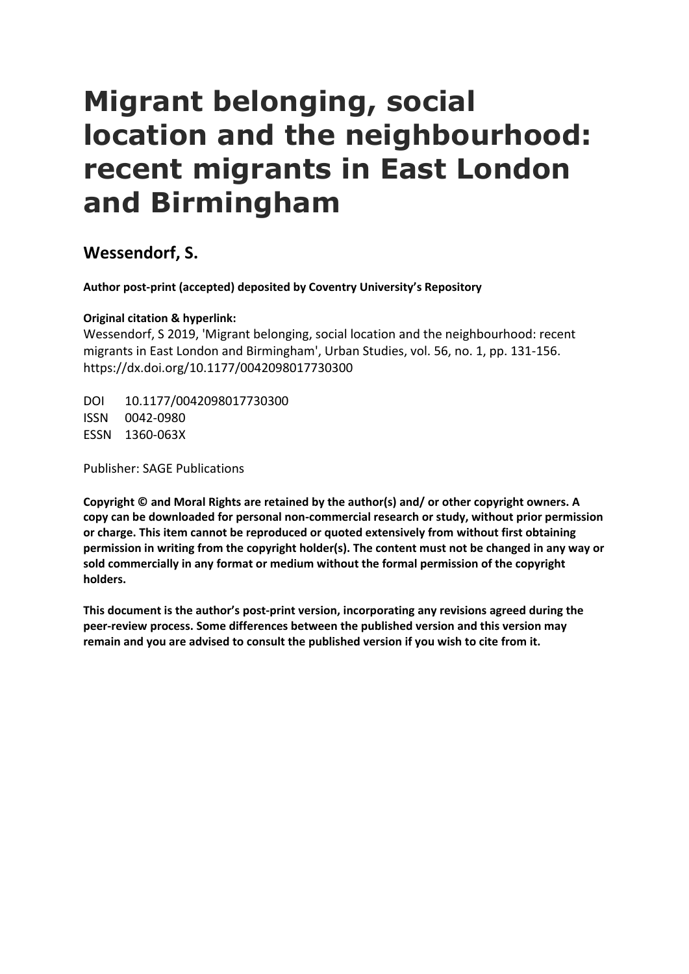# **Migrant belonging, social location and the neighbourhood: recent migrants in East London and Birmingham**

**Wessendorf, S.**

**Author post-print (accepted) deposited by Coventry University's Repository**

# **Original citation & hyperlink:**

Wessendorf, S 2019, 'Migrant belonging, social location and the neighbourhood: recent migrants in East London and Birmingham', Urban Studies, vol. 56, no. 1, pp. 131-156. https://dx.doi.org/10.1177/0042098017730300

DOI 10.1177/0042098017730300 ISSN 0042-0980 ESSN 1360-063X

Publisher: SAGE Publications

**Copyright © and Moral Rights are retained by the author(s) and/ or other copyright owners. A copy can be downloaded for personal non-commercial research or study, without prior permission or charge. This item cannot be reproduced or quoted extensively from without first obtaining permission in writing from the copyright holder(s). The content must not be changed in any way or sold commercially in any format or medium without the formal permission of the copyright holders.** 

**This document is the author's post-print version, incorporating any revisions agreed during the peer-review process. Some differences between the published version and this version may remain and you are advised to consult the published version if you wish to cite from it.**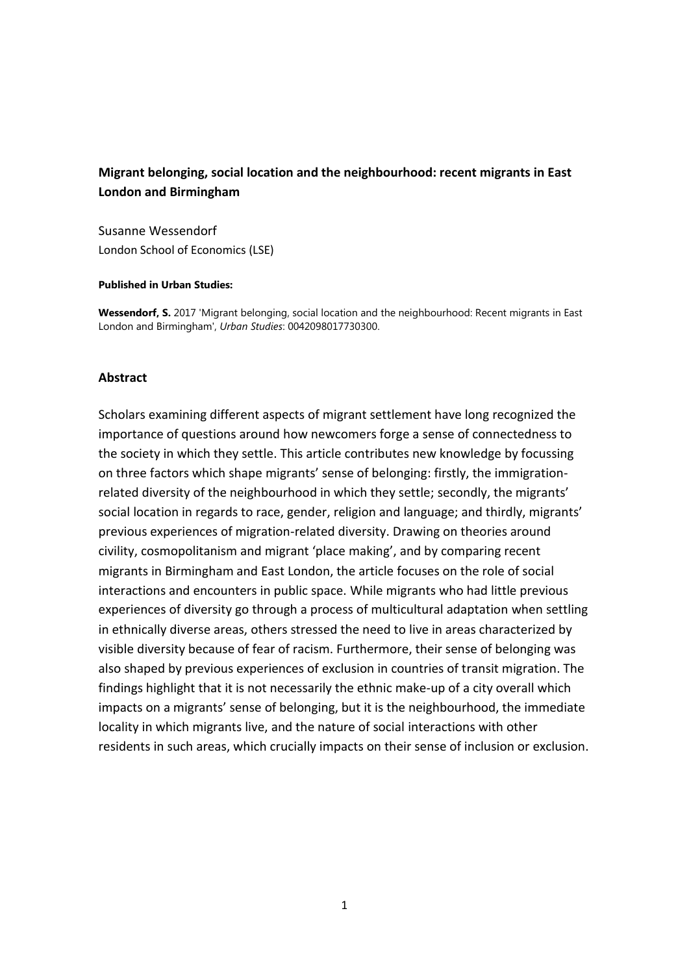# **Migrant belonging, social location and the neighbourhood: recent migrants in East London and Birmingham**

Susanne Wessendorf London School of Economics (LSE)

#### **Published in Urban Studies:**

**Wessendorf, S.** 2017 'Migrant belonging, social location and the neighbourhood: Recent migrants in East London and Birmingham', *Urban Studies*: 0042098017730300.

### **Abstract**

Scholars examining different aspects of migrant settlement have long recognized the importance of questions around how newcomers forge a sense of connectedness to the society in which they settle. This article contributes new knowledge by focussing on three factors which shape migrants' sense of belonging: firstly, the immigrationrelated diversity of the neighbourhood in which they settle; secondly, the migrants' social location in regards to race, gender, religion and language; and thirdly, migrants' previous experiences of migration-related diversity. Drawing on theories around civility, cosmopolitanism and migrant 'place making', and by comparing recent migrants in Birmingham and East London, the article focuses on the role of social interactions and encounters in public space. While migrants who had little previous experiences of diversity go through a process of multicultural adaptation when settling in ethnically diverse areas, others stressed the need to live in areas characterized by visible diversity because of fear of racism. Furthermore, their sense of belonging was also shaped by previous experiences of exclusion in countries of transit migration. The findings highlight that it is not necessarily the ethnic make-up of a city overall which impacts on a migrants' sense of belonging, but it is the neighbourhood, the immediate locality in which migrants live, and the nature of social interactions with other residents in such areas, which crucially impacts on their sense of inclusion or exclusion.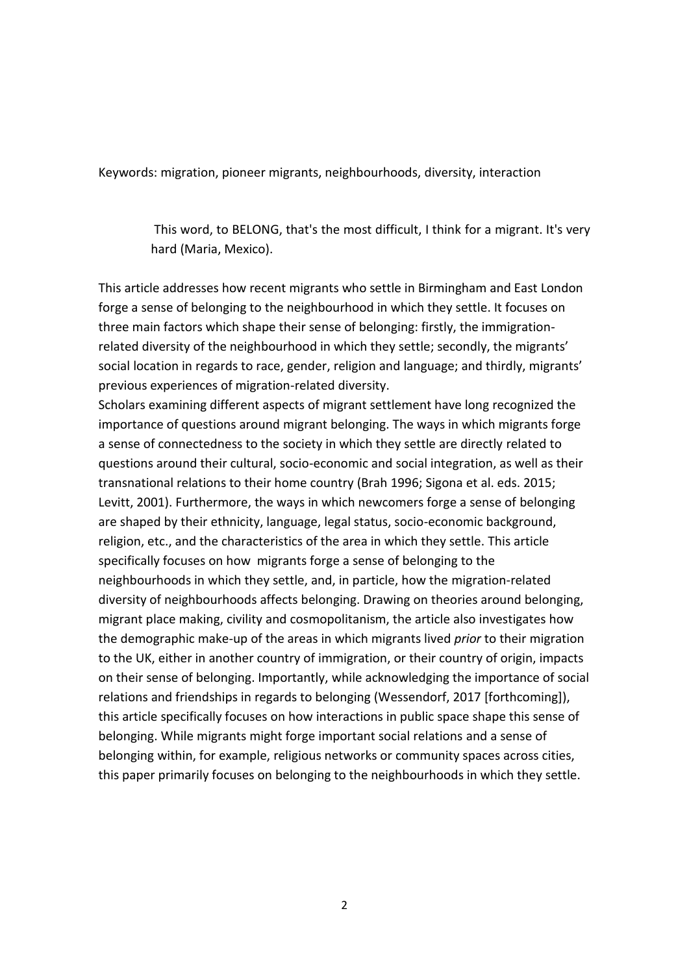Keywords: migration, pioneer migrants, neighbourhoods, diversity, interaction

This word, to BELONG, that's the most difficult, I think for a migrant. It's very hard (Maria, Mexico).

This article addresses how recent migrants who settle in Birmingham and East London forge a sense of belonging to the neighbourhood in which they settle. It focuses on three main factors which shape their sense of belonging: firstly, the immigrationrelated diversity of the neighbourhood in which they settle; secondly, the migrants' social location in regards to race, gender, religion and language; and thirdly, migrants' previous experiences of migration-related diversity.

Scholars examining different aspects of migrant settlement have long recognized the importance of questions around migrant belonging. The ways in which migrants forge a sense of connectedness to the society in which they settle are directly related to questions around their cultural, socio-economic and social integration, as well as their transnational relations to their home country (Brah 1996; Sigona et al. eds. 2015; Levitt, 2001). Furthermore, the ways in which newcomers forge a sense of belonging are shaped by their ethnicity, language, legal status, socio-economic background, religion, etc., and the characteristics of the area in which they settle. This article specifically focuses on how migrants forge a sense of belonging to the neighbourhoods in which they settle, and, in particle, how the migration-related diversity of neighbourhoods affects belonging. Drawing on theories around belonging, migrant place making, civility and cosmopolitanism, the article also investigates how the demographic make-up of the areas in which migrants lived *prior* to their migration to the UK, either in another country of immigration, or their country of origin, impacts on their sense of belonging. Importantly, while acknowledging the importance of social relations and friendships in regards to belonging (Wessendorf, 2017 [forthcoming]), this article specifically focuses on how interactions in public space shape this sense of belonging. While migrants might forge important social relations and a sense of belonging within, for example, religious networks or community spaces across cities, this paper primarily focuses on belonging to the neighbourhoods in which they settle.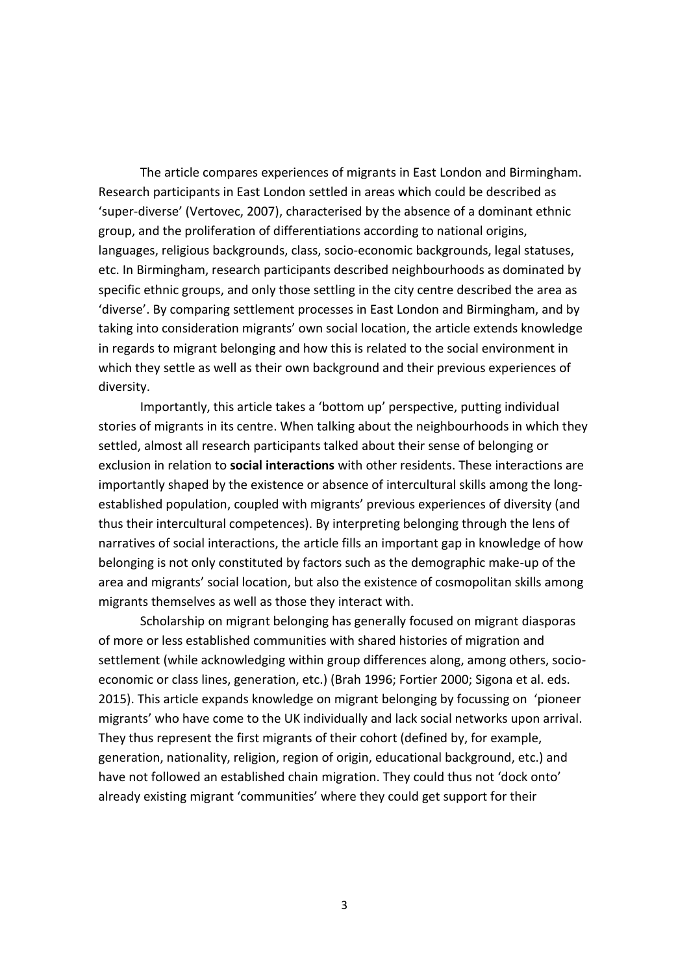The article compares experiences of migrants in East London and Birmingham. Research participants in East London settled in areas which could be described as 'super-diverse' (Vertovec, 2007), characterised by the absence of a dominant ethnic group, and the proliferation of differentiations according to national origins, languages, religious backgrounds, class, socio-economic backgrounds, legal statuses, etc. In Birmingham, research participants described neighbourhoods as dominated by specific ethnic groups, and only those settling in the city centre described the area as 'diverse'. By comparing settlement processes in East London and Birmingham, and by taking into consideration migrants' own social location, the article extends knowledge in regards to migrant belonging and how this is related to the social environment in which they settle as well as their own background and their previous experiences of diversity.

Importantly, this article takes a 'bottom up' perspective, putting individual stories of migrants in its centre. When talking about the neighbourhoods in which they settled, almost all research participants talked about their sense of belonging or exclusion in relation to **social interactions** with other residents. These interactions are importantly shaped by the existence or absence of intercultural skills among the longestablished population, coupled with migrants' previous experiences of diversity (and thus their intercultural competences). By interpreting belonging through the lens of narratives of social interactions, the article fills an important gap in knowledge of how belonging is not only constituted by factors such as the demographic make-up of the area and migrants' social location, but also the existence of cosmopolitan skills among migrants themselves as well as those they interact with.

Scholarship on migrant belonging has generally focused on migrant diasporas of more or less established communities with shared histories of migration and settlement (while acknowledging within group differences along, among others, socioeconomic or class lines, generation, etc.) (Brah 1996; Fortier 2000; Sigona et al. eds. 2015). This article expands knowledge on migrant belonging by focussing on 'pioneer migrants' who have come to the UK individually and lack social networks upon arrival. They thus represent the first migrants of their cohort (defined by, for example, generation, nationality, religion, region of origin, educational background, etc.) and have not followed an established chain migration. They could thus not 'dock onto' already existing migrant 'communities' where they could get support for their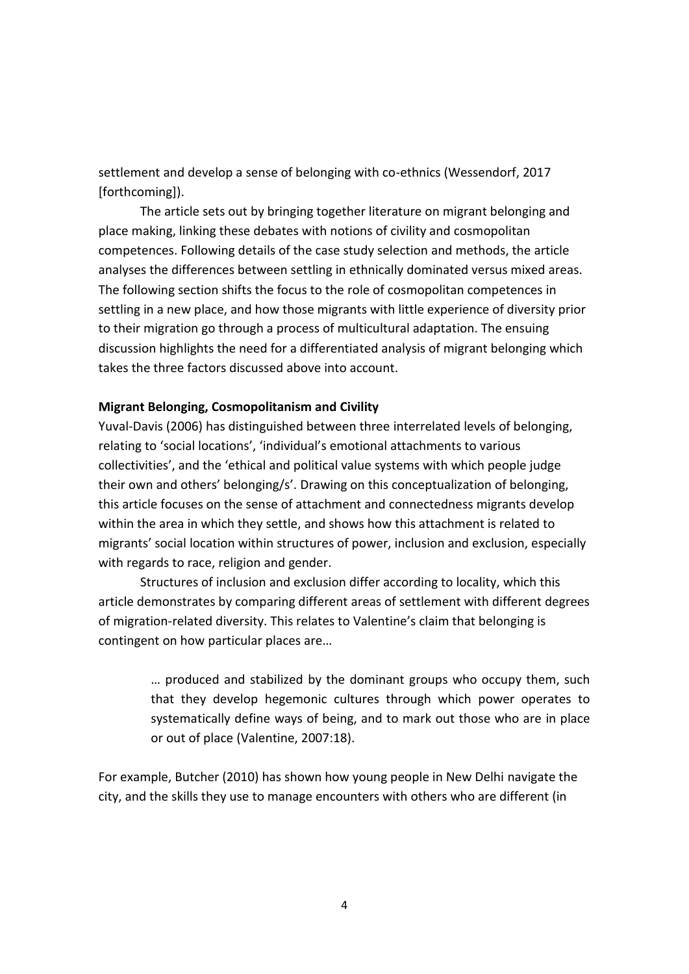settlement and develop a sense of belonging with co-ethnics (Wessendorf, 2017 [forthcoming]).

The article sets out by bringing together literature on migrant belonging and place making, linking these debates with notions of civility and cosmopolitan competences. Following details of the case study selection and methods, the article analyses the differences between settling in ethnically dominated versus mixed areas. The following section shifts the focus to the role of cosmopolitan competences in settling in a new place, and how those migrants with little experience of diversity prior to their migration go through a process of multicultural adaptation. The ensuing discussion highlights the need for a differentiated analysis of migrant belonging which takes the three factors discussed above into account.

## **Migrant Belonging, Cosmopolitanism and Civility**

Yuval-Davis (2006) has distinguished between three interrelated levels of belonging, relating to 'social locations', 'individual's emotional attachments to various collectivities', and the 'ethical and political value systems with which people judge their own and others' belonging/s'. Drawing on this conceptualization of belonging, this article focuses on the sense of attachment and connectedness migrants develop within the area in which they settle, and shows how this attachment is related to migrants' social location within structures of power, inclusion and exclusion, especially with regards to race, religion and gender.

Structures of inclusion and exclusion differ according to locality, which this article demonstrates by comparing different areas of settlement with different degrees of migration-related diversity. This relates to Valentine's claim that belonging is contingent on how particular places are…

> … produced and stabilized by the dominant groups who occupy them, such that they develop hegemonic cultures through which power operates to systematically define ways of being, and to mark out those who are in place or out of place (Valentine, 2007:18).

For example, Butcher (2010) has shown how young people in New Delhi navigate the city, and the skills they use to manage encounters with others who are different (in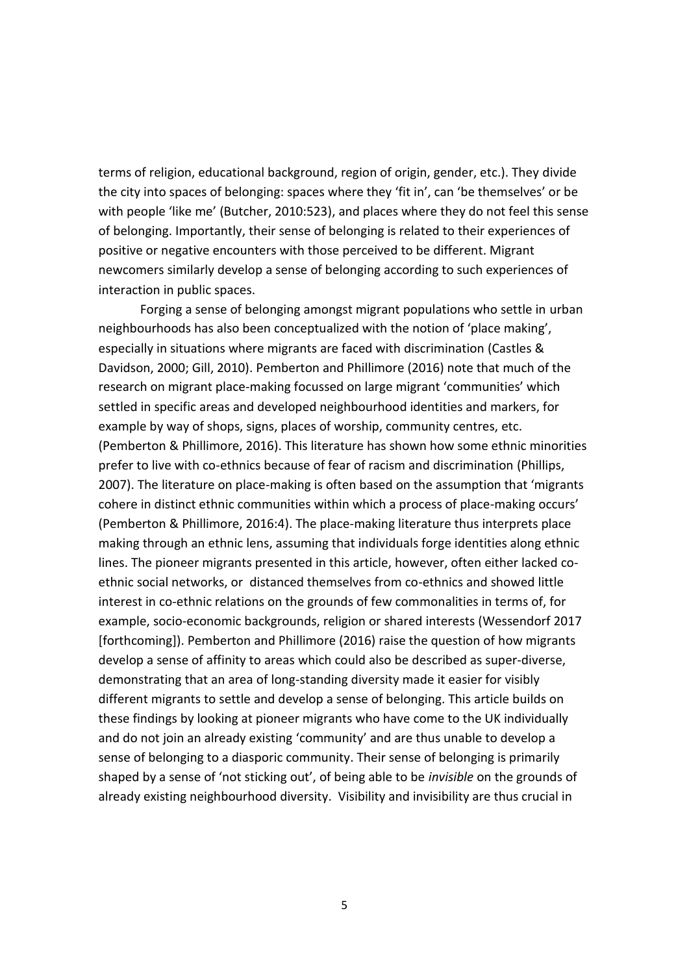terms of religion, educational background, region of origin, gender, etc.). They divide the city into spaces of belonging: spaces where they 'fit in', can 'be themselves' or be with people 'like me' (Butcher, 2010:523), and places where they do not feel this sense of belonging. Importantly, their sense of belonging is related to their experiences of positive or negative encounters with those perceived to be different. Migrant newcomers similarly develop a sense of belonging according to such experiences of interaction in public spaces.

Forging a sense of belonging amongst migrant populations who settle in urban neighbourhoods has also been conceptualized with the notion of 'place making', especially in situations where migrants are faced with discrimination (Castles & Davidson, 2000; Gill, 2010). Pemberton and Phillimore (2016) note that much of the research on migrant place-making focussed on large migrant 'communities' which settled in specific areas and developed neighbourhood identities and markers, for example by way of shops, signs, places of worship, community centres, etc. (Pemberton & Phillimore, 2016). This literature has shown how some ethnic minorities prefer to live with co-ethnics because of fear of racism and discrimination (Phillips, 2007). The literature on place-making is often based on the assumption that 'migrants cohere in distinct ethnic communities within which a process of place-making occurs' (Pemberton & Phillimore, 2016:4). The place-making literature thus interprets place making through an ethnic lens, assuming that individuals forge identities along ethnic lines. The pioneer migrants presented in this article, however, often either lacked coethnic social networks, or distanced themselves from co-ethnics and showed little interest in co-ethnic relations on the grounds of few commonalities in terms of, for example, socio-economic backgrounds, religion or shared interests (Wessendorf 2017 [forthcoming]). Pemberton and Phillimore (2016) raise the question of how migrants develop a sense of affinity to areas which could also be described as super-diverse, demonstrating that an area of long-standing diversity made it easier for visibly different migrants to settle and develop a sense of belonging. This article builds on these findings by looking at pioneer migrants who have come to the UK individually and do not join an already existing 'community' and are thus unable to develop a sense of belonging to a diasporic community. Their sense of belonging is primarily shaped by a sense of 'not sticking out', of being able to be *invisible* on the grounds of already existing neighbourhood diversity. Visibility and invisibility are thus crucial in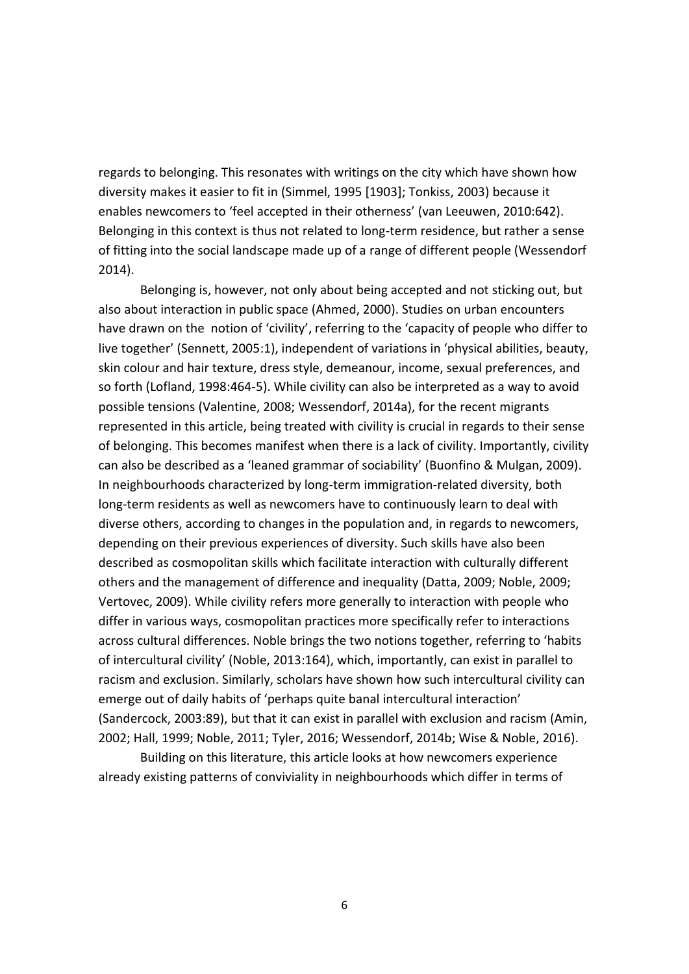regards to belonging. This resonates with writings on the city which have shown how diversity makes it easier to fit in (Simmel, 1995 [1903]; Tonkiss, 2003) because it enables newcomers to 'feel accepted in their otherness' (van Leeuwen, 2010:642). Belonging in this context is thus not related to long-term residence, but rather a sense of fitting into the social landscape made up of a range of different people (Wessendorf 2014).

Belonging is, however, not only about being accepted and not sticking out, but also about interaction in public space (Ahmed, 2000). Studies on urban encounters have drawn on the notion of 'civility', referring to the 'capacity of people who differ to live together' (Sennett, 2005:1), independent of variations in 'physical abilities, beauty, skin colour and hair texture, dress style, demeanour, income, sexual preferences, and so forth (Lofland, 1998:464-5). While civility can also be interpreted as a way to avoid possible tensions (Valentine, 2008; Wessendorf, 2014a), for the recent migrants represented in this article, being treated with civility is crucial in regards to their sense of belonging. This becomes manifest when there is a lack of civility. Importantly, civility can also be described as a 'leaned grammar of sociability' (Buonfino & Mulgan, 2009). In neighbourhoods characterized by long-term immigration-related diversity, both long-term residents as well as newcomers have to continuously learn to deal with diverse others, according to changes in the population and, in regards to newcomers, depending on their previous experiences of diversity. Such skills have also been described as cosmopolitan skills which facilitate interaction with culturally different others and the management of difference and inequality (Datta, 2009; Noble, 2009; Vertovec, 2009). While civility refers more generally to interaction with people who differ in various ways, cosmopolitan practices more specifically refer to interactions across cultural differences. Noble brings the two notions together, referring to 'habits of intercultural civility' (Noble, 2013:164), which, importantly, can exist in parallel to racism and exclusion. Similarly, scholars have shown how such intercultural civility can emerge out of daily habits of 'perhaps quite banal intercultural interaction' (Sandercock, 2003:89), but that it can exist in parallel with exclusion and racism (Amin, 2002; Hall, 1999; Noble, 2011; Tyler, 2016; Wessendorf, 2014b; Wise & Noble, 2016).

Building on this literature, this article looks at how newcomers experience already existing patterns of conviviality in neighbourhoods which differ in terms of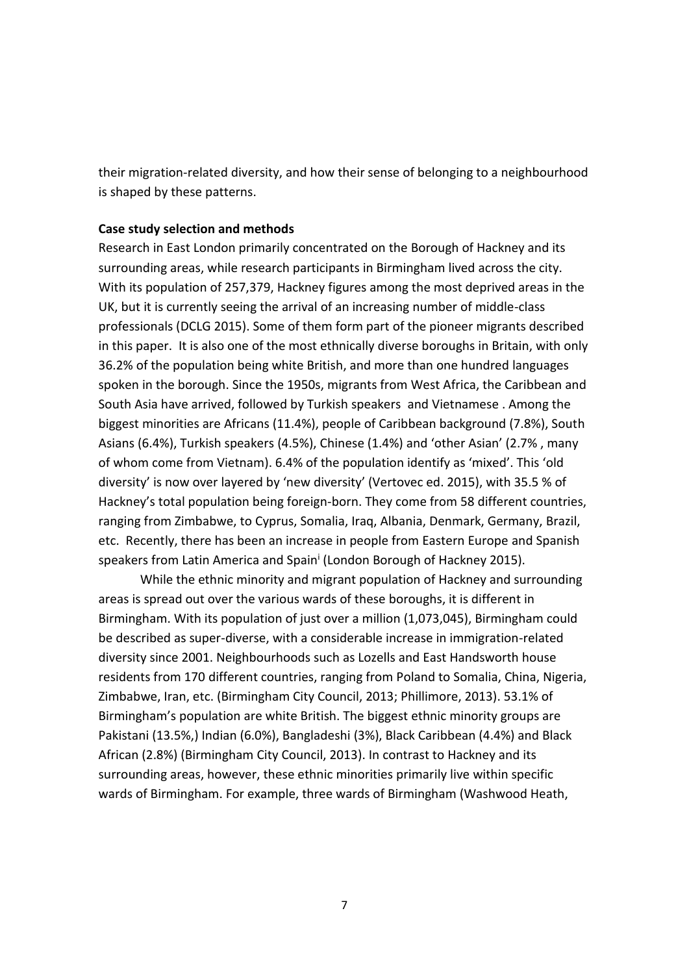their migration-related diversity, and how their sense of belonging to a neighbourhood is shaped by these patterns.

## **Case study selection and methods**

Research in East London primarily concentrated on the Borough of Hackney and its surrounding areas, while research participants in Birmingham lived across the city. With its population of 257,379, Hackney figures among the most deprived areas in the UK, but it is currently seeing the arrival of an increasing number of middle-class professionals (DCLG 2015). Some of them form part of the pioneer migrants described in this paper. It is also one of the most ethnically diverse boroughs in Britain, with only 36.2% of the population being white British, and more than one hundred languages spoken in the borough. Since the 1950s, migrants from West Africa, the Caribbean and South Asia have arrived, followed by Turkish speakers and Vietnamese . Among the biggest minorities are Africans (11.4%), people of Caribbean background (7.8%), South Asians (6.4%), Turkish speakers (4.5%), Chinese (1.4%) and 'other Asian' (2.7% , many of whom come from Vietnam). 6.4% of the population identify as 'mixed'. This 'old diversity' is now over layered by 'new diversity' (Vertovec ed. 2015), with 35.5 % of Hackney's total population being foreign-born. They come from 58 different countries, ranging from Zimbabwe, to Cyprus, Somalia, Iraq, Albania, Denmark, Germany, Brazil, etc. Recently, there has been an increase in people from Eastern Europe and Spanish speakers from Latin America and Spain<sup>i</sup> (London Borough of Hackney 2015).

While the ethnic minority and migrant population of Hackney and surrounding areas is spread out over the various wards of these boroughs, it is different in Birmingham. With its population of just over a million (1,073,045), Birmingham could be described as super-diverse, with a considerable increase in immigration-related diversity since 2001. Neighbourhoods such as Lozells and East Handsworth house residents from 170 different countries, ranging from Poland to Somalia, China, Nigeria, Zimbabwe, Iran, etc. (Birmingham City Council, 2013; Phillimore, 2013). 53.1% of Birmingham's population are white British. The biggest ethnic minority groups are Pakistani (13.5%,) Indian (6.0%), Bangladeshi (3%), Black Caribbean (4.4%) and Black African (2.8%) (Birmingham City Council, 2013). In contrast to Hackney and its surrounding areas, however, these ethnic minorities primarily live within specific wards of Birmingham. For example, three wards of Birmingham (Washwood Heath,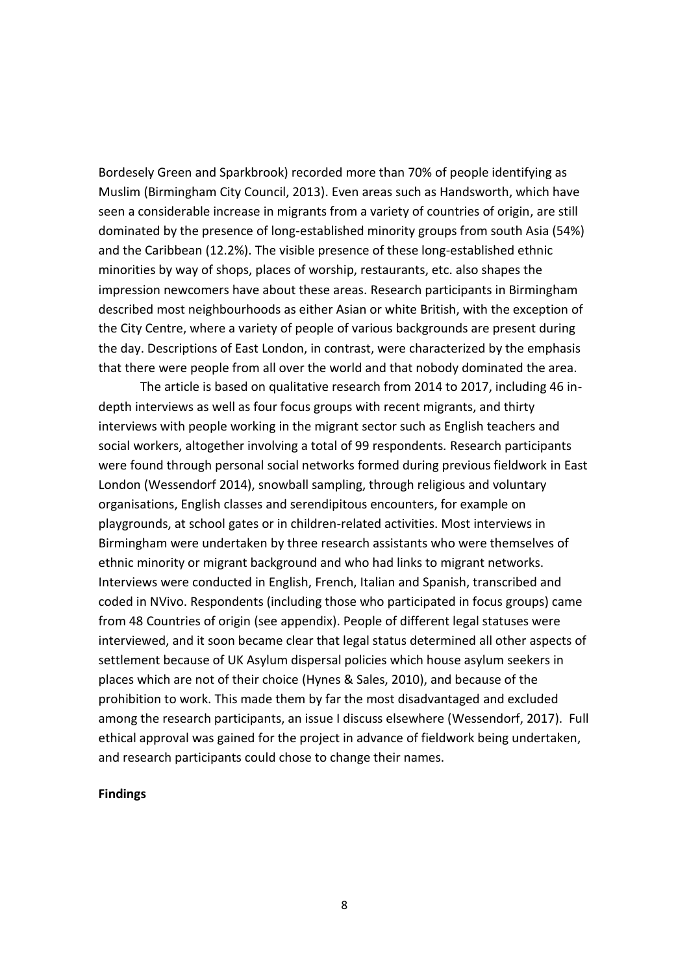Bordesely Green and Sparkbrook) recorded more than 70% of people identifying as Muslim (Birmingham City Council, 2013). Even areas such as Handsworth, which have seen a considerable increase in migrants from a variety of countries of origin, are still dominated by the presence of long-established minority groups from south Asia (54%) and the Caribbean (12.2%). The visible presence of these long-established ethnic minorities by way of shops, places of worship, restaurants, etc. also shapes the impression newcomers have about these areas. Research participants in Birmingham described most neighbourhoods as either Asian or white British, with the exception of the City Centre, where a variety of people of various backgrounds are present during the day. Descriptions of East London, in contrast, were characterized by the emphasis that there were people from all over the world and that nobody dominated the area.

The article is based on qualitative research from 2014 to 2017, including 46 indepth interviews as well as four focus groups with recent migrants, and thirty interviews with people working in the migrant sector such as English teachers and social workers, altogether involving a total of 99 respondents*.* Research participants were found through personal social networks formed during previous fieldwork in East London (Wessendorf 2014), snowball sampling, through religious and voluntary organisations, English classes and serendipitous encounters, for example on playgrounds, at school gates or in children-related activities. Most interviews in Birmingham were undertaken by three research assistants who were themselves of ethnic minority or migrant background and who had links to migrant networks. Interviews were conducted in English, French, Italian and Spanish, transcribed and coded in NVivo. Respondents (including those who participated in focus groups) came from 48 Countries of origin (see appendix). People of different legal statuses were interviewed, and it soon became clear that legal status determined all other aspects of settlement because of UK Asylum dispersal policies which house asylum seekers in places which are not of their choice (Hynes & Sales, 2010), and because of the prohibition to work. This made them by far the most disadvantaged and excluded among the research participants, an issue I discuss elsewhere (Wessendorf, 2017). Full ethical approval was gained for the project in advance of fieldwork being undertaken, and research participants could chose to change their names.

#### **Findings**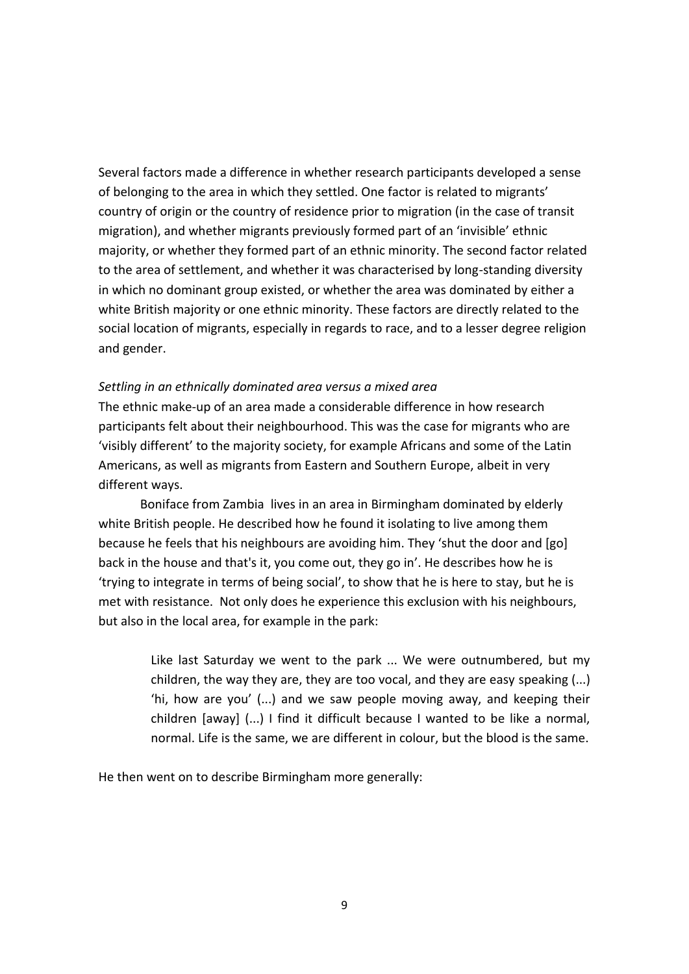Several factors made a difference in whether research participants developed a sense of belonging to the area in which they settled. One factor is related to migrants' country of origin or the country of residence prior to migration (in the case of transit migration), and whether migrants previously formed part of an 'invisible' ethnic majority, or whether they formed part of an ethnic minority. The second factor related to the area of settlement, and whether it was characterised by long-standing diversity in which no dominant group existed, or whether the area was dominated by either a white British majority or one ethnic minority. These factors are directly related to the social location of migrants, especially in regards to race, and to a lesser degree religion and gender.

### *Settling in an ethnically dominated area versus a mixed area*

The ethnic make-up of an area made a considerable difference in how research participants felt about their neighbourhood. This was the case for migrants who are 'visibly different' to the majority society, for example Africans and some of the Latin Americans, as well as migrants from Eastern and Southern Europe, albeit in very different ways.

Boniface from Zambia lives in an area in Birmingham dominated by elderly white British people. He described how he found it isolating to live among them because he feels that his neighbours are avoiding him. They 'shut the door and [go] back in the house and that's it, you come out, they go in'. He describes how he is 'trying to integrate in terms of being social', to show that he is here to stay, but he is met with resistance. Not only does he experience this exclusion with his neighbours, but also in the local area, for example in the park:

> Like last Saturday we went to the park ... We were outnumbered, but my children, the way they are, they are too vocal, and they are easy speaking (...) 'hi, how are you' (...) and we saw people moving away, and keeping their children [away] (...) I find it difficult because I wanted to be like a normal, normal. Life is the same, we are different in colour, but the blood is the same.

He then went on to describe Birmingham more generally: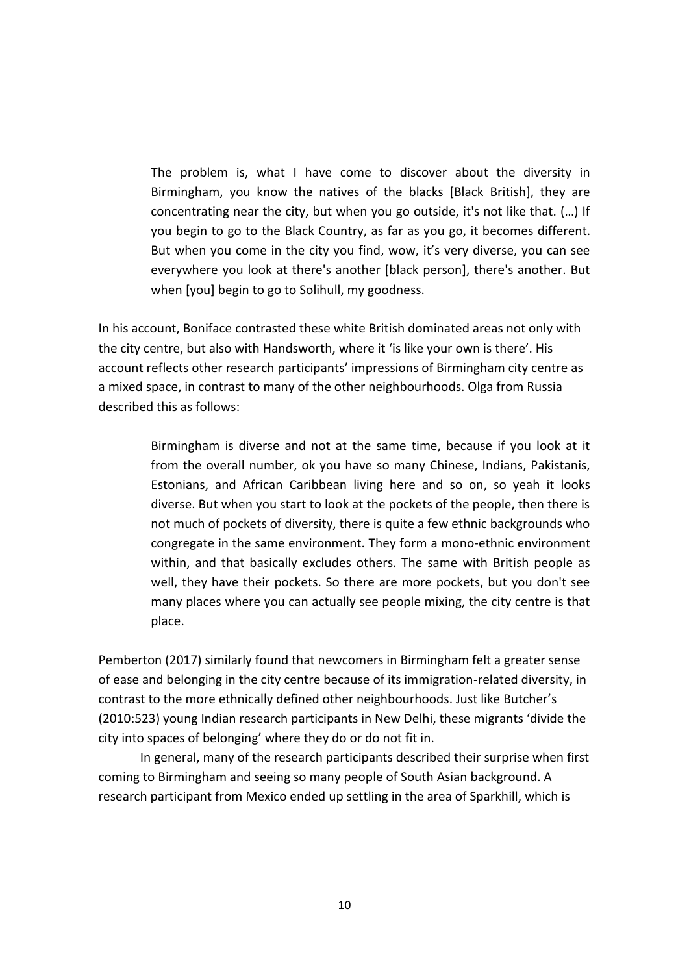The problem is, what I have come to discover about the diversity in Birmingham, you know the natives of the blacks [Black British], they are concentrating near the city, but when you go outside, it's not like that. (…) If you begin to go to the Black Country, as far as you go, it becomes different. But when you come in the city you find, wow, it's very diverse, you can see everywhere you look at there's another [black person], there's another. But when [you] begin to go to Solihull, my goodness.

In his account, Boniface contrasted these white British dominated areas not only with the city centre, but also with Handsworth, where it 'is like your own is there'. His account reflects other research participants' impressions of Birmingham city centre as a mixed space, in contrast to many of the other neighbourhoods. Olga from Russia described this as follows:

> Birmingham is diverse and not at the same time, because if you look at it from the overall number, ok you have so many Chinese, Indians, Pakistanis, Estonians, and African Caribbean living here and so on, so yeah it looks diverse. But when you start to look at the pockets of the people, then there is not much of pockets of diversity, there is quite a few ethnic backgrounds who congregate in the same environment. They form a mono-ethnic environment within, and that basically excludes others. The same with British people as well, they have their pockets. So there are more pockets, but you don't see many places where you can actually see people mixing, the city centre is that place.

Pemberton (2017) similarly found that newcomers in Birmingham felt a greater sense of ease and belonging in the city centre because of its immigration-related diversity, in contrast to the more ethnically defined other neighbourhoods. Just like Butcher's (2010:523) young Indian research participants in New Delhi, these migrants 'divide the city into spaces of belonging' where they do or do not fit in.

In general, many of the research participants described their surprise when first coming to Birmingham and seeing so many people of South Asian background. A research participant from Mexico ended up settling in the area of Sparkhill, which is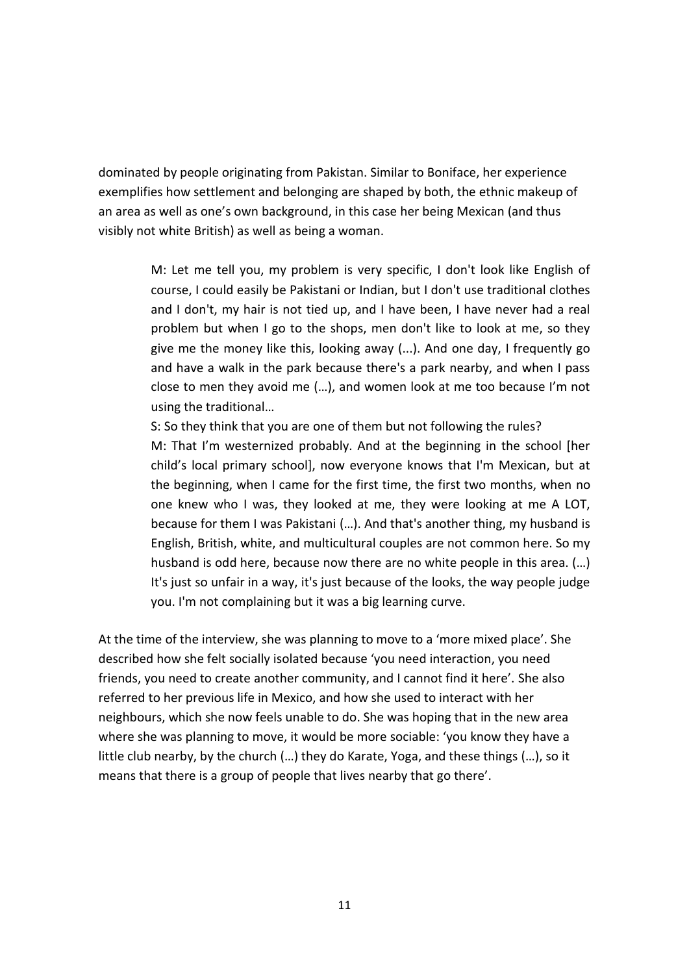dominated by people originating from Pakistan. Similar to Boniface, her experience exemplifies how settlement and belonging are shaped by both, the ethnic makeup of an area as well as one's own background, in this case her being Mexican (and thus visibly not white British) as well as being a woman.

> M: Let me tell you, my problem is very specific, I don't look like English of course, I could easily be Pakistani or Indian, but I don't use traditional clothes and I don't, my hair is not tied up, and I have been, I have never had a real problem but when I go to the shops, men don't like to look at me, so they give me the money like this, looking away (...). And one day, I frequently go and have a walk in the park because there's a park nearby, and when I pass close to men they avoid me (…), and women look at me too because I'm not using the traditional…

> S: So they think that you are one of them but not following the rules? M: That I'm westernized probably. And at the beginning in the school [her child's local primary school], now everyone knows that I'm Mexican, but at the beginning, when I came for the first time, the first two months, when no one knew who I was, they looked at me, they were looking at me A LOT, because for them I was Pakistani (…). And that's another thing, my husband is English, British, white, and multicultural couples are not common here. So my husband is odd here, because now there are no white people in this area. (…) It's just so unfair in a way, it's just because of the looks, the way people judge you. I'm not complaining but it was a big learning curve.

At the time of the interview, she was planning to move to a 'more mixed place'. She described how she felt socially isolated because 'you need interaction, you need friends, you need to create another community, and I cannot find it here'. She also referred to her previous life in Mexico, and how she used to interact with her neighbours, which she now feels unable to do. She was hoping that in the new area where she was planning to move, it would be more sociable: 'you know they have a little club nearby, by the church (…) they do Karate, Yoga, and these things (…), so it means that there is a group of people that lives nearby that go there'.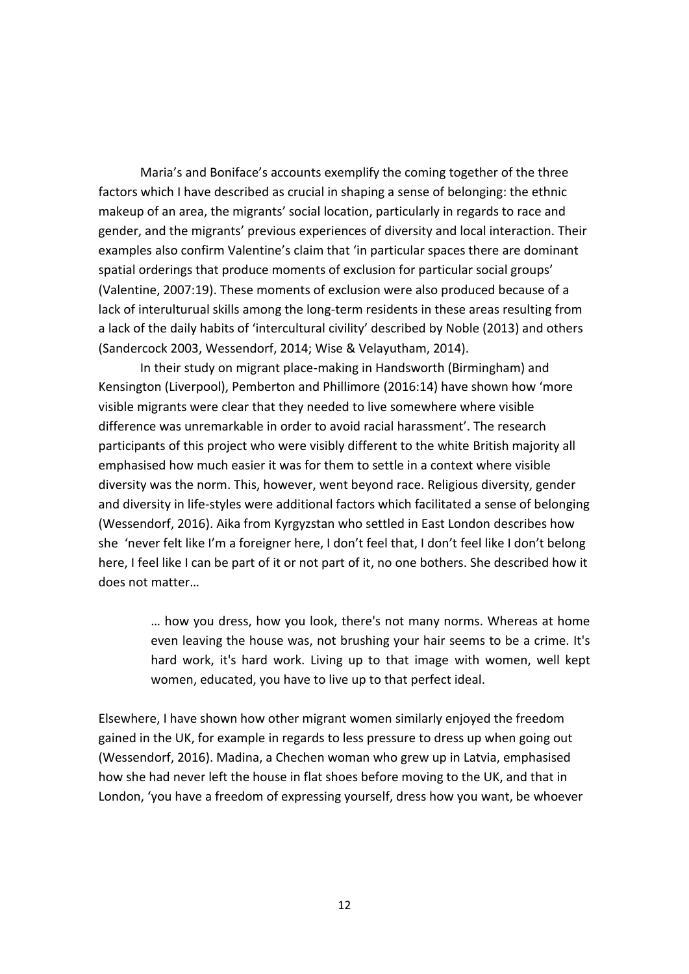Maria's and Boniface's accounts exemplify the coming together of the three factors which I have described as crucial in shaping a sense of belonging: the ethnic makeup of an area, the migrants' social location, particularly in regards to race and gender, and the migrants' previous experiences of diversity and local interaction. Their examples also confirm Valentine's claim that 'in particular spaces there are dominant spatial orderings that produce moments of exclusion for particular social groups' (Valentine, 2007:19). These moments of exclusion were also produced because of a lack of interulturual skills among the long-term residents in these areas resulting from a lack of the daily habits of 'intercultural civility' described by Noble (2013) and others (Sandercock 2003, Wessendorf, 2014; Wise & Velayutham, 2014).

In their study on migrant place-making in Handsworth (Birmingham) and Kensington (Liverpool), Pemberton and Phillimore (2016:14) have shown how 'more visible migrants were clear that they needed to live somewhere where visible difference was unremarkable in order to avoid racial harassment'. The research participants of this project who were visibly different to the white British majority all emphasised how much easier it was for them to settle in a context where visible diversity was the norm. This, however, went beyond race. Religious diversity, gender and diversity in life-styles were additional factors which facilitated a sense of belonging (Wessendorf, 2016). Aika from Kyrgyzstan who settled in East London describes how she 'never felt like I'm a foreigner here, I don't feel that, I don't feel like I don't belong here, I feel like I can be part of it or not part of it, no one bothers. She described how it does not matter…

> … how you dress, how you look, there's not many norms. Whereas at home even leaving the house was, not brushing your hair seems to be a crime. It's hard work, it's hard work. Living up to that image with women, well kept women, educated, you have to live up to that perfect ideal.

Elsewhere, I have shown how other migrant women similarly enjoyed the freedom gained in the UK, for example in regards to less pressure to dress up when going out (Wessendorf, 2016). Madina, a Chechen woman who grew up in Latvia, emphasised how she had never left the house in flat shoes before moving to the UK, and that in London, 'you have a freedom of expressing yourself, dress how you want, be whoever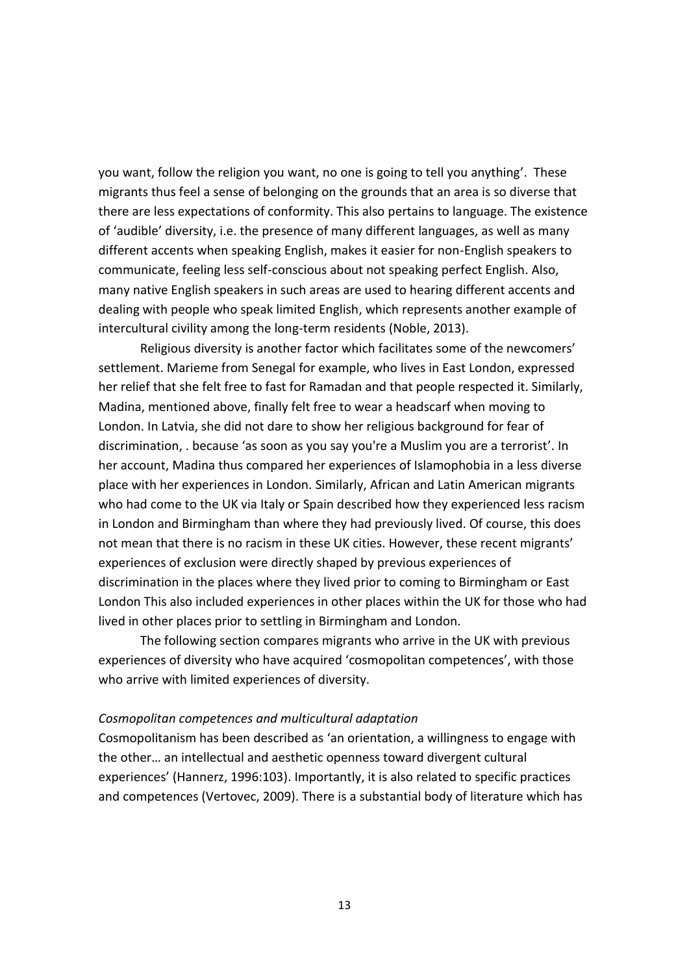you want, follow the religion you want, no one is going to tell you anything'. These migrants thus feel a sense of belonging on the grounds that an area is so diverse that there are less expectations of conformity. This also pertains to language. The existence of 'audible' diversity, i.e. the presence of many different languages, as well as many different accents when speaking English, makes it easier for non-English speakers to communicate, feeling less self-conscious about not speaking perfect English. Also, many native English speakers in such areas are used to hearing different accents and dealing with people who speak limited English, which represents another example of intercultural civility among the long-term residents (Noble, 2013).

Religious diversity is another factor which facilitates some of the newcomers' settlement. Marieme from Senegal for example, who lives in East London, expressed her relief that she felt free to fast for Ramadan and that people respected it. Similarly, Madina, mentioned above, finally felt free to wear a headscarf when moving to London. In Latvia, she did not dare to show her religious background for fear of discrimination, . because 'as soon as you say you're a Muslim you are a terrorist'. In her account, Madina thus compared her experiences of Islamophobia in a less diverse place with her experiences in London. Similarly, African and Latin American migrants who had come to the UK via Italy or Spain described how they experienced less racism in London and Birmingham than where they had previously lived. Of course, this does not mean that there is no racism in these UK cities. However, these recent migrants' experiences of exclusion were directly shaped by previous experiences of discrimination in the places where they lived prior to coming to Birmingham or East London This also included experiences in other places within the UK for those who had lived in other places prior to settling in Birmingham and London.

The following section compares migrants who arrive in the UK with previous experiences of diversity who have acquired 'cosmopolitan competences', with those who arrive with limited experiences of diversity.

#### *Cosmopolitan competences and multicultural adaptation*

Cosmopolitanism has been described as 'an orientation, a willingness to engage with the other… an intellectual and aesthetic openness toward divergent cultural experiences' (Hannerz, 1996:103). Importantly, it is also related to specific practices and competences (Vertovec, 2009). There is a substantial body of literature which has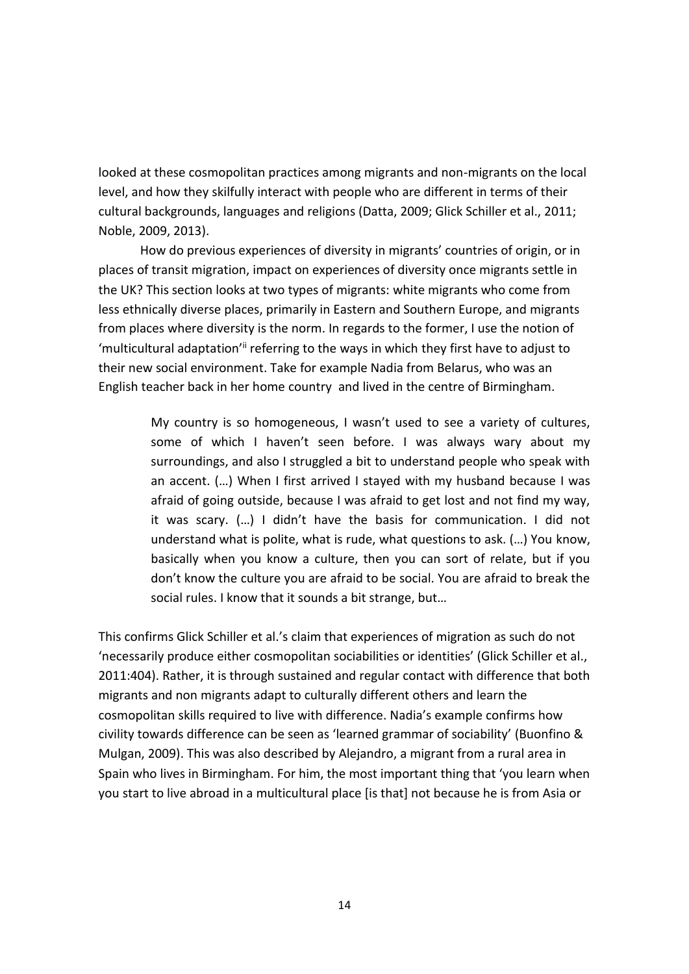looked at these cosmopolitan practices among migrants and non-migrants on the local level, and how they skilfully interact with people who are different in terms of their cultural backgrounds, languages and religions (Datta, 2009; Glick Schiller et al., 2011; Noble, 2009, 2013).

How do previous experiences of diversity in migrants' countries of origin, or in places of transit migration, impact on experiences of diversity once migrants settle in the UK? This section looks at two types of migrants: white migrants who come from less ethnically diverse places, primarily in Eastern and Southern Europe, and migrants from places where diversity is the norm. In regards to the former, I use the notion of 'multicultural adaptation'<sup>ii</sup> referring to the ways in which they first have to adjust to their new social environment. Take for example Nadia from Belarus, who was an English teacher back in her home country and lived in the centre of Birmingham.

> My country is so homogeneous, I wasn't used to see a variety of cultures, some of which I haven't seen before. I was always wary about my surroundings, and also I struggled a bit to understand people who speak with an accent. (…) When I first arrived I stayed with my husband because I was afraid of going outside, because I was afraid to get lost and not find my way, it was scary. (…) I didn't have the basis for communication. I did not understand what is polite, what is rude, what questions to ask. (…) You know, basically when you know a culture, then you can sort of relate, but if you don't know the culture you are afraid to be social. You are afraid to break the social rules. I know that it sounds a bit strange, but…

This confirms Glick Schiller et al.'s claim that experiences of migration as such do not 'necessarily produce either cosmopolitan sociabilities or identities' (Glick Schiller et al., 2011:404). Rather, it is through sustained and regular contact with difference that both migrants and non migrants adapt to culturally different others and learn the cosmopolitan skills required to live with difference. Nadia's example confirms how civility towards difference can be seen as 'learned grammar of sociability' (Buonfino & Mulgan, 2009). This was also described by Alejandro, a migrant from a rural area in Spain who lives in Birmingham. For him, the most important thing that 'you learn when you start to live abroad in a multicultural place [is that] not because he is from Asia or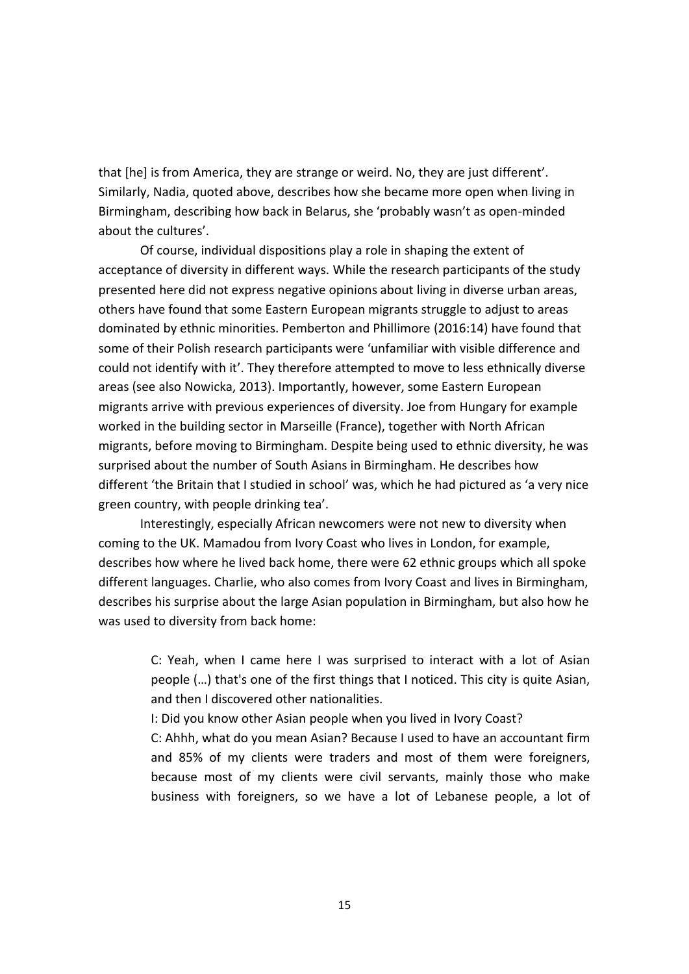that [he] is from America, they are strange or weird. No, they are just different'. Similarly, Nadia, quoted above, describes how she became more open when living in Birmingham, describing how back in Belarus, she 'probably wasn't as open-minded about the cultures'.

Of course, individual dispositions play a role in shaping the extent of acceptance of diversity in different ways. While the research participants of the study presented here did not express negative opinions about living in diverse urban areas, others have found that some Eastern European migrants struggle to adjust to areas dominated by ethnic minorities. Pemberton and Phillimore (2016:14) have found that some of their Polish research participants were 'unfamiliar with visible difference and could not identify with it'. They therefore attempted to move to less ethnically diverse areas (see also Nowicka, 2013). Importantly, however, some Eastern European migrants arrive with previous experiences of diversity. Joe from Hungary for example worked in the building sector in Marseille (France), together with North African migrants, before moving to Birmingham. Despite being used to ethnic diversity, he was surprised about the number of South Asians in Birmingham. He describes how different 'the Britain that I studied in school' was, which he had pictured as 'a very nice green country, with people drinking tea'.

Interestingly, especially African newcomers were not new to diversity when coming to the UK. Mamadou from Ivory Coast who lives in London, for example, describes how where he lived back home, there were 62 ethnic groups which all spoke different languages. Charlie, who also comes from Ivory Coast and lives in Birmingham, describes his surprise about the large Asian population in Birmingham, but also how he was used to diversity from back home:

> C: Yeah, when I came here I was surprised to interact with a lot of Asian people (…) that's one of the first things that I noticed. This city is quite Asian, and then I discovered other nationalities.

I: Did you know other Asian people when you lived in Ivory Coast?

C: Ahhh, what do you mean Asian? Because I used to have an accountant firm and 85% of my clients were traders and most of them were foreigners, because most of my clients were civil servants, mainly those who make business with foreigners, so we have a lot of Lebanese people, a lot of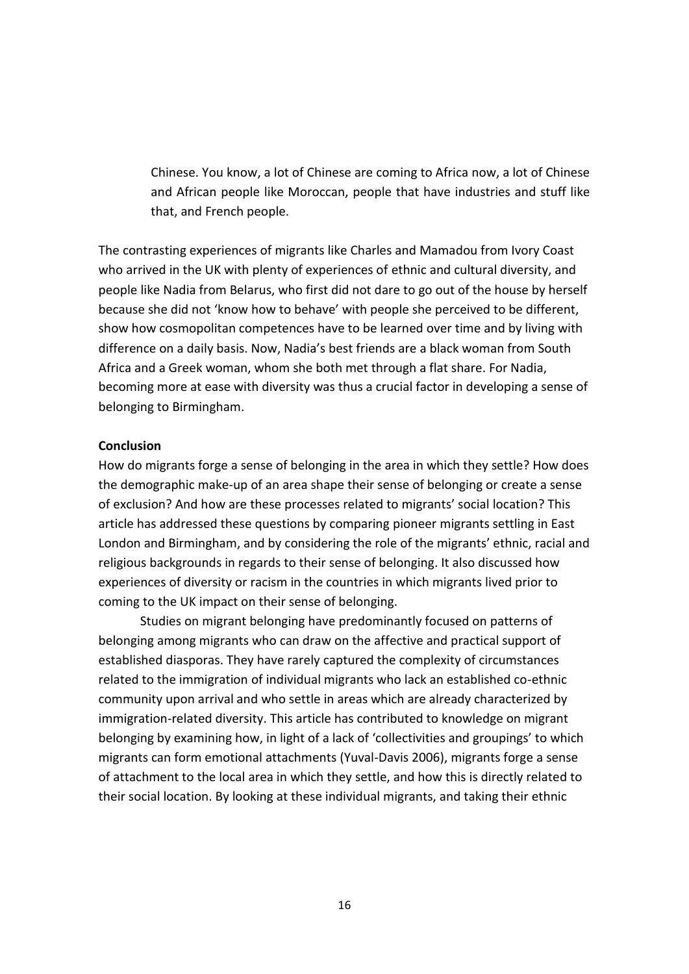Chinese. You know, a lot of Chinese are coming to Africa now, a lot of Chinese and African people like Moroccan, people that have industries and stuff like that, and French people.

The contrasting experiences of migrants like Charles and Mamadou from Ivory Coast who arrived in the UK with plenty of experiences of ethnic and cultural diversity, and people like Nadia from Belarus, who first did not dare to go out of the house by herself because she did not 'know how to behave' with people she perceived to be different, show how cosmopolitan competences have to be learned over time and by living with difference on a daily basis. Now, Nadia's best friends are a black woman from South Africa and a Greek woman, whom she both met through a flat share. For Nadia, becoming more at ease with diversity was thus a crucial factor in developing a sense of belonging to Birmingham.

### **Conclusion**

How do migrants forge a sense of belonging in the area in which they settle? How does the demographic make-up of an area shape their sense of belonging or create a sense of exclusion? And how are these processes related to migrants' social location? This article has addressed these questions by comparing pioneer migrants settling in East London and Birmingham, and by considering the role of the migrants' ethnic, racial and religious backgrounds in regards to their sense of belonging. It also discussed how experiences of diversity or racism in the countries in which migrants lived prior to coming to the UK impact on their sense of belonging.

Studies on migrant belonging have predominantly focused on patterns of belonging among migrants who can draw on the affective and practical support of established diasporas. They have rarely captured the complexity of circumstances related to the immigration of individual migrants who lack an established co-ethnic community upon arrival and who settle in areas which are already characterized by immigration-related diversity. This article has contributed to knowledge on migrant belonging by examining how, in light of a lack of 'collectivities and groupings' to which migrants can form emotional attachments (Yuval-Davis 2006), migrants forge a sense of attachment to the local area in which they settle, and how this is directly related to their social location. By looking at these individual migrants, and taking their ethnic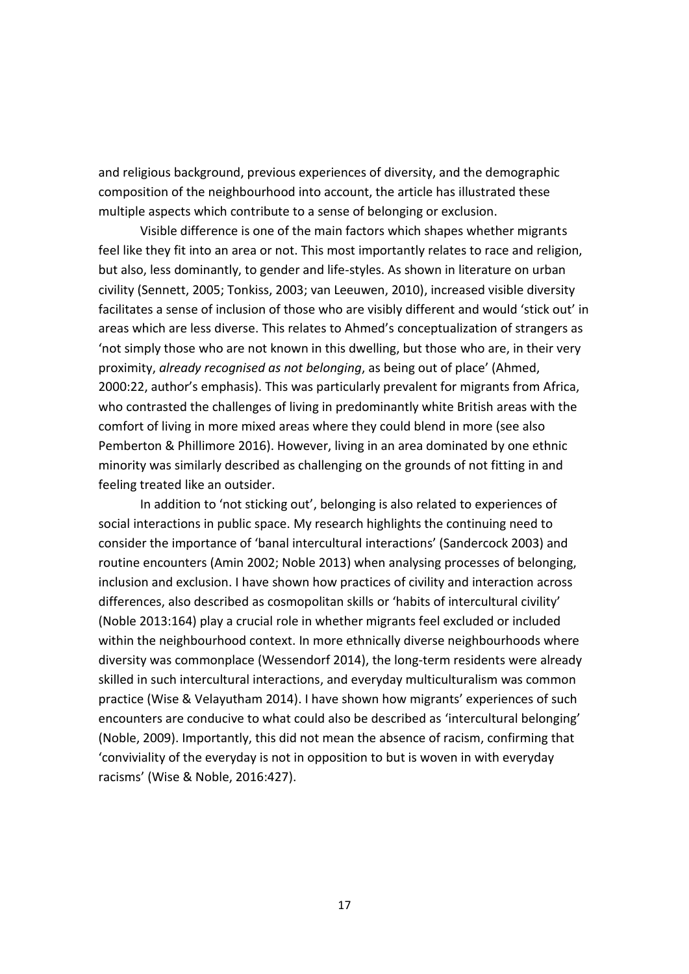and religious background, previous experiences of diversity, and the demographic composition of the neighbourhood into account, the article has illustrated these multiple aspects which contribute to a sense of belonging or exclusion.

Visible difference is one of the main factors which shapes whether migrants feel like they fit into an area or not. This most importantly relates to race and religion, but also, less dominantly, to gender and life-styles. As shown in literature on urban civility (Sennett, 2005; Tonkiss, 2003; van Leeuwen, 2010), increased visible diversity facilitates a sense of inclusion of those who are visibly different and would 'stick out' in areas which are less diverse. This relates to Ahmed's conceptualization of strangers as 'not simply those who are not known in this dwelling, but those who are, in their very proximity, *already recognised as not belonging*, as being out of place' (Ahmed, 2000:22, author's emphasis). This was particularly prevalent for migrants from Africa, who contrasted the challenges of living in predominantly white British areas with the comfort of living in more mixed areas where they could blend in more (see also Pemberton & Phillimore 2016). However, living in an area dominated by one ethnic minority was similarly described as challenging on the grounds of not fitting in and feeling treated like an outsider.

In addition to 'not sticking out', belonging is also related to experiences of social interactions in public space. My research highlights the continuing need to consider the importance of 'banal intercultural interactions' (Sandercock 2003) and routine encounters (Amin 2002; Noble 2013) when analysing processes of belonging, inclusion and exclusion. I have shown how practices of civility and interaction across differences, also described as cosmopolitan skills or 'habits of intercultural civility' (Noble 2013:164) play a crucial role in whether migrants feel excluded or included within the neighbourhood context. In more ethnically diverse neighbourhoods where diversity was commonplace (Wessendorf 2014), the long-term residents were already skilled in such intercultural interactions, and everyday multiculturalism was common practice (Wise & Velayutham 2014). I have shown how migrants' experiences of such encounters are conducive to what could also be described as 'intercultural belonging' (Noble, 2009). Importantly, this did not mean the absence of racism, confirming that 'conviviality of the everyday is not in opposition to but is woven in with everyday racisms' (Wise & Noble, 2016:427).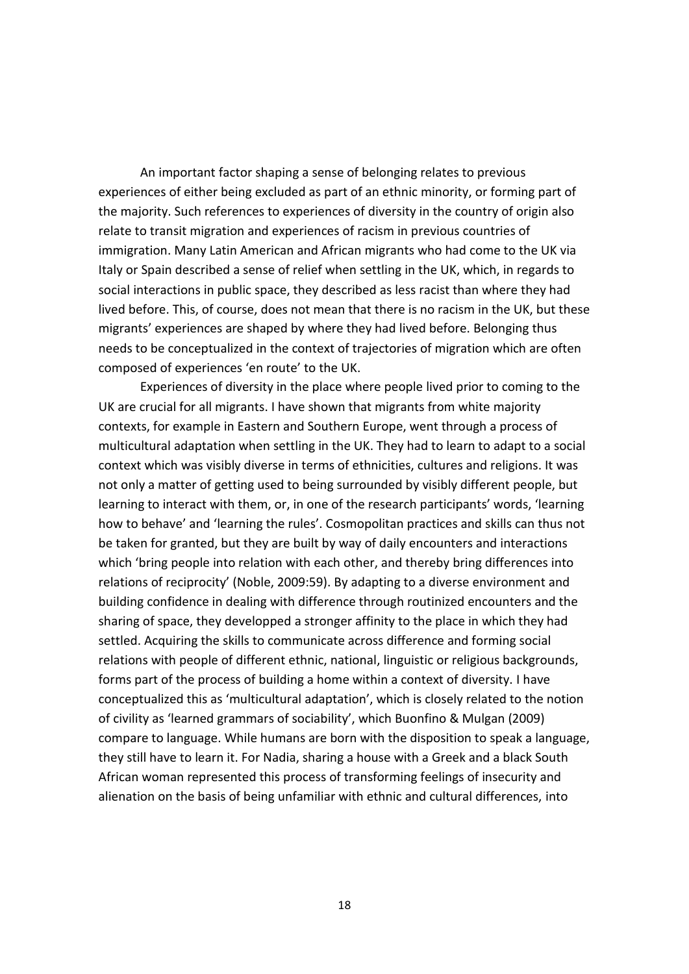An important factor shaping a sense of belonging relates to previous experiences of either being excluded as part of an ethnic minority, or forming part of the majority. Such references to experiences of diversity in the country of origin also relate to transit migration and experiences of racism in previous countries of immigration. Many Latin American and African migrants who had come to the UK via Italy or Spain described a sense of relief when settling in the UK, which, in regards to social interactions in public space, they described as less racist than where they had lived before. This, of course, does not mean that there is no racism in the UK, but these migrants' experiences are shaped by where they had lived before. Belonging thus needs to be conceptualized in the context of trajectories of migration which are often composed of experiences 'en route' to the UK.

Experiences of diversity in the place where people lived prior to coming to the UK are crucial for all migrants. I have shown that migrants from white majority contexts, for example in Eastern and Southern Europe, went through a process of multicultural adaptation when settling in the UK. They had to learn to adapt to a social context which was visibly diverse in terms of ethnicities, cultures and religions. It was not only a matter of getting used to being surrounded by visibly different people, but learning to interact with them, or, in one of the research participants' words, 'learning how to behave' and 'learning the rules'. Cosmopolitan practices and skills can thus not be taken for granted, but they are built by way of daily encounters and interactions which 'bring people into relation with each other, and thereby bring differences into relations of reciprocity' (Noble, 2009:59). By adapting to a diverse environment and building confidence in dealing with difference through routinized encounters and the sharing of space, they developped a stronger affinity to the place in which they had settled. Acquiring the skills to communicate across difference and forming social relations with people of different ethnic, national, linguistic or religious backgrounds, forms part of the process of building a home within a context of diversity. I have conceptualized this as 'multicultural adaptation', which is closely related to the notion of civility as 'learned grammars of sociability', which Buonfino & Mulgan (2009) compare to language. While humans are born with the disposition to speak a language, they still have to learn it. For Nadia, sharing a house with a Greek and a black South African woman represented this process of transforming feelings of insecurity and alienation on the basis of being unfamiliar with ethnic and cultural differences, into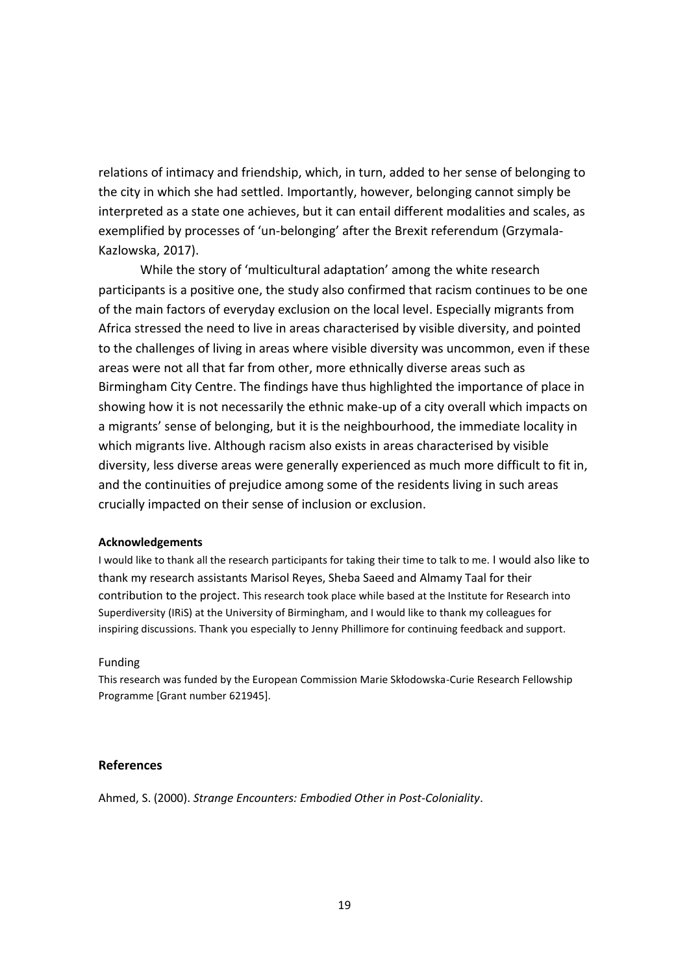relations of intimacy and friendship, which, in turn, added to her sense of belonging to the city in which she had settled. Importantly, however, belonging cannot simply be interpreted as a state one achieves, but it can entail different modalities and scales, as exemplified by processes of 'un-belonging' after the Brexit referendum (Grzymala-Kazlowska, 2017).

While the story of 'multicultural adaptation' among the white research participants is a positive one, the study also confirmed that racism continues to be one of the main factors of everyday exclusion on the local level. Especially migrants from Africa stressed the need to live in areas characterised by visible diversity, and pointed to the challenges of living in areas where visible diversity was uncommon, even if these areas were not all that far from other, more ethnically diverse areas such as Birmingham City Centre. The findings have thus highlighted the importance of place in showing how it is not necessarily the ethnic make-up of a city overall which impacts on a migrants' sense of belonging, but it is the neighbourhood, the immediate locality in which migrants live. Although racism also exists in areas characterised by visible diversity, less diverse areas were generally experienced as much more difficult to fit in, and the continuities of prejudice among some of the residents living in such areas crucially impacted on their sense of inclusion or exclusion.

#### **Acknowledgements**

I would like to thank all the research participants for taking their time to talk to me. I would also like to thank my research assistants Marisol Reyes, Sheba Saeed and Almamy Taal for their contribution to the project. This research took place while based at the Institute for Research into Superdiversity (IRiS) at the University of Birmingham, and I would like to thank my colleagues for inspiring discussions. Thank you especially to Jenny Phillimore for continuing feedback and support.

#### Funding

This research was funded by the European Commission Marie Skłodowska-Curie Research Fellowship Programme [Grant number 621945].

#### **References**

Ahmed, S. (2000). *Strange Encounters: Embodied Other in Post-Coloniality*.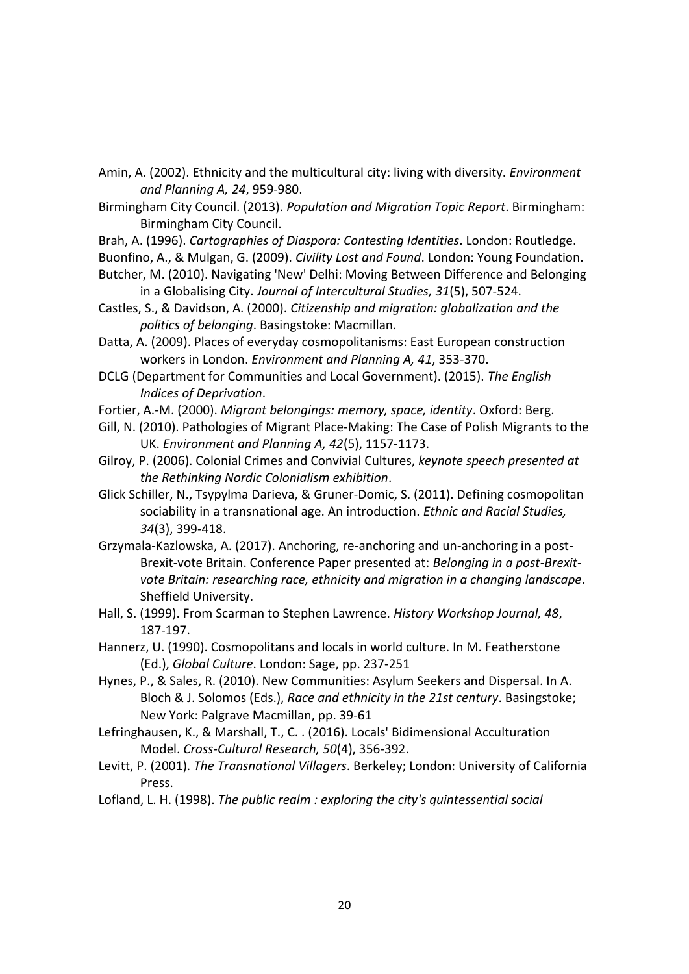- Amin, A. (2002). Ethnicity and the multicultural city: living with diversity. *Environment and Planning A, 24*, 959-980.
- Birmingham City Council. (2013). *Population and Migration Topic Report*. Birmingham: Birmingham City Council.
- Brah, A. (1996). *Cartographies of Diaspora: Contesting Identities*. London: Routledge.
- Buonfino, A., & Mulgan, G. (2009). *Civility Lost and Found*. London: Young Foundation.
- Butcher, M. (2010). Navigating 'New' Delhi: Moving Between Difference and Belonging in a Globalising City. *Journal of Intercultural Studies, 31*(5), 507-524.
- Castles, S., & Davidson, A. (2000). *Citizenship and migration: globalization and the politics of belonging*. Basingstoke: Macmillan.
- Datta, A. (2009). Places of everyday cosmopolitanisms: East European construction workers in London. *Environment and Planning A, 41*, 353-370.
- DCLG (Department for Communities and Local Government). (2015). *The English Indices of Deprivation*.
- Fortier, A.-M. (2000). *Migrant belongings: memory, space, identity*. Oxford: Berg.
- Gill, N. (2010). Pathologies of Migrant Place-Making: The Case of Polish Migrants to the UK. *Environment and Planning A, 42*(5), 1157-1173.
- Gilroy, P. (2006). Colonial Crimes and Convivial Cultures, *keynote speech presented at the Rethinking Nordic Colonialism exhibition*.
- Glick Schiller, N., Tsypylma Darieva, & Gruner-Domic, S. (2011). Defining cosmopolitan sociability in a transnational age. An introduction. *Ethnic and Racial Studies, 34*(3), 399-418.
- Grzymala-Kazlowska, A. (2017). Anchoring, re-anchoring and un-anchoring in a post-Brexit-vote Britain. Conference Paper presented at: *Belonging in a post-Brexitvote Britain: researching race, ethnicity and migration in a changing landscape*. Sheffield University.
- Hall, S. (1999). From Scarman to Stephen Lawrence. *History Workshop Journal, 48*, 187-197.
- Hannerz, U. (1990). Cosmopolitans and locals in world culture. In M. Featherstone (Ed.), *Global Culture*. London: Sage, pp. 237-251
- Hynes, P., & Sales, R. (2010). New Communities: Asylum Seekers and Dispersal. In A. Bloch & J. Solomos (Eds.), *Race and ethnicity in the 21st century*. Basingstoke; New York: Palgrave Macmillan, pp. 39-61
- Lefringhausen, K., & Marshall, T., C. . (2016). Locals' Bidimensional Acculturation Model. *Cross-Cultural Research, 50*(4), 356-392.
- Levitt, P. (2001). *The Transnational Villagers*. Berkeley; London: University of California Press.
- Lofland, L. H. (1998). *The public realm : exploring the city's quintessential social*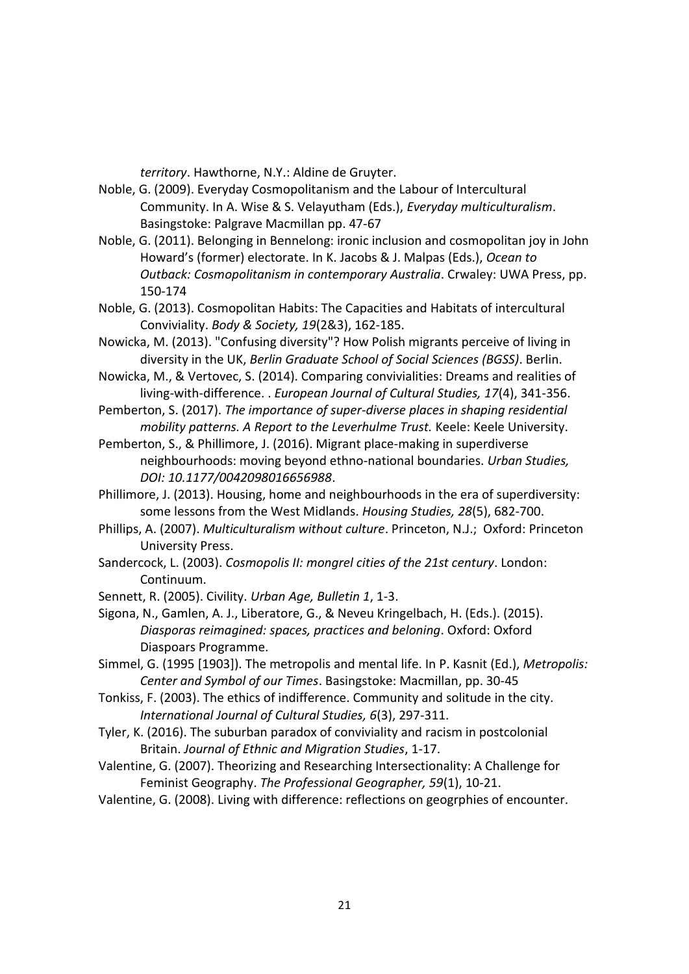*territory*. Hawthorne, N.Y.: Aldine de Gruyter.

- Noble, G. (2009). Everyday Cosmopolitanism and the Labour of Intercultural Community. In A. Wise & S. Velayutham (Eds.), *Everyday multiculturalism*. Basingstoke: Palgrave Macmillan pp. 47-67
- Noble, G. (2011). Belonging in Bennelong: ironic inclusion and cosmopolitan joy in John Howard's (former) electorate. In K. Jacobs & J. Malpas (Eds.), *Ocean to Outback: Cosmopolitanism in contemporary Australia*. Crwaley: UWA Press, pp. 150-174
- Noble, G. (2013). Cosmopolitan Habits: The Capacities and Habitats of intercultural Conviviality. *Body & Society, 19*(2&3), 162-185.
- Nowicka, M. (2013). "Confusing diversity"? How Polish migrants perceive of living in diversity in the UK, *Berlin Graduate School of Social Sciences (BGSS)*. Berlin.
- Nowicka, M., & Vertovec, S. (2014). Comparing convivialities: Dreams and realities of living-with-difference. . *European Journal of Cultural Studies, 17*(4), 341-356.
- Pemberton, S. (2017). *The importance of super-diverse places in shaping residential mobility patterns. A Report to the Leverhulme Trust.* Keele: Keele University.
- Pemberton, S., & Phillimore, J. (2016). Migrant place-making in superdiverse neighbourhoods: moving beyond ethno-national boundaries. *Urban Studies, DOI: 10.1177/0042098016656988*.
- Phillimore, J. (2013). Housing, home and neighbourhoods in the era of superdiversity: some lessons from the West Midlands. *Housing Studies, 28*(5), 682-700.
- Phillips, A. (2007). *Multiculturalism without culture*. Princeton, N.J.; Oxford: Princeton University Press.
- Sandercock, L. (2003). *Cosmopolis II: mongrel cities of the 21st century*. London: Continuum.
- Sennett, R. (2005). Civility. *Urban Age, Bulletin 1*, 1-3.
- Sigona, N., Gamlen, A. J., Liberatore, G., & Neveu Kringelbach, H. (Eds.). (2015). *Diasporas reimagined: spaces, practices and beloning*. Oxford: Oxford Diaspoars Programme.
- Simmel, G. (1995 [1903]). The metropolis and mental life. In P. Kasnit (Ed.), *Metropolis: Center and Symbol of our Times*. Basingstoke: Macmillan, pp. 30-45
- Tonkiss, F. (2003). The ethics of indifference. Community and solitude in the city. *International Journal of Cultural Studies, 6*(3), 297-311.
- Tyler, K. (2016). The suburban paradox of conviviality and racism in postcolonial Britain. *Journal of Ethnic and Migration Studies*, 1-17.
- Valentine, G. (2007). Theorizing and Researching Intersectionality: A Challenge for Feminist Geography. *The Professional Geographer, 59*(1), 10-21.
- Valentine, G. (2008). Living with difference: reflections on geogrphies of encounter.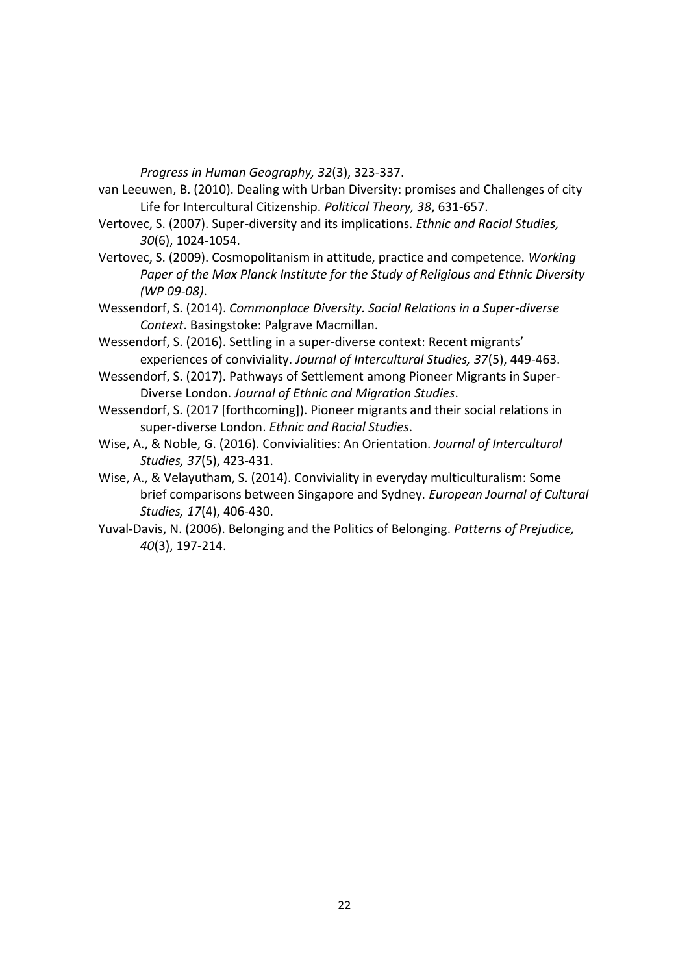*Progress in Human Geography, 32*(3), 323-337.

van Leeuwen, B. (2010). Dealing with Urban Diversity: promises and Challenges of city Life for Intercultural Citizenship. *Political Theory, 38*, 631-657.

- Vertovec, S. (2007). Super-diversity and its implications. *Ethnic and Racial Studies, 30*(6), 1024-1054.
- Vertovec, S. (2009). Cosmopolitanism in attitude, practice and competence. *Working Paper of the Max Planck Institute for the Study of Religious and Ethnic Diversity (WP 09-08)*.
- Wessendorf, S. (2014). *Commonplace Diversity. Social Relations in a Super-diverse Context*. Basingstoke: Palgrave Macmillan.
- Wessendorf, S. (2016). Settling in a super-diverse context: Recent migrants' experiences of conviviality. *Journal of Intercultural Studies, 37*(5), 449-463.
- Wessendorf, S. (2017). Pathways of Settlement among Pioneer Migrants in Super-Diverse London. *Journal of Ethnic and Migration Studies*.
- Wessendorf, S. (2017 [forthcoming]). Pioneer migrants and their social relations in super-diverse London. *Ethnic and Racial Studies*.
- Wise, A., & Noble, G. (2016). Convivialities: An Orientation. *Journal of Intercultural Studies, 37*(5), 423-431.
- Wise, A., & Velayutham, S. (2014). Conviviality in everyday multiculturalism: Some brief comparisons between Singapore and Sydney. *European Journal of Cultural Studies, 17*(4), 406-430.
- Yuval-Davis, N. (2006). Belonging and the Politics of Belonging. *Patterns of Prejudice, 40*(3), 197-214.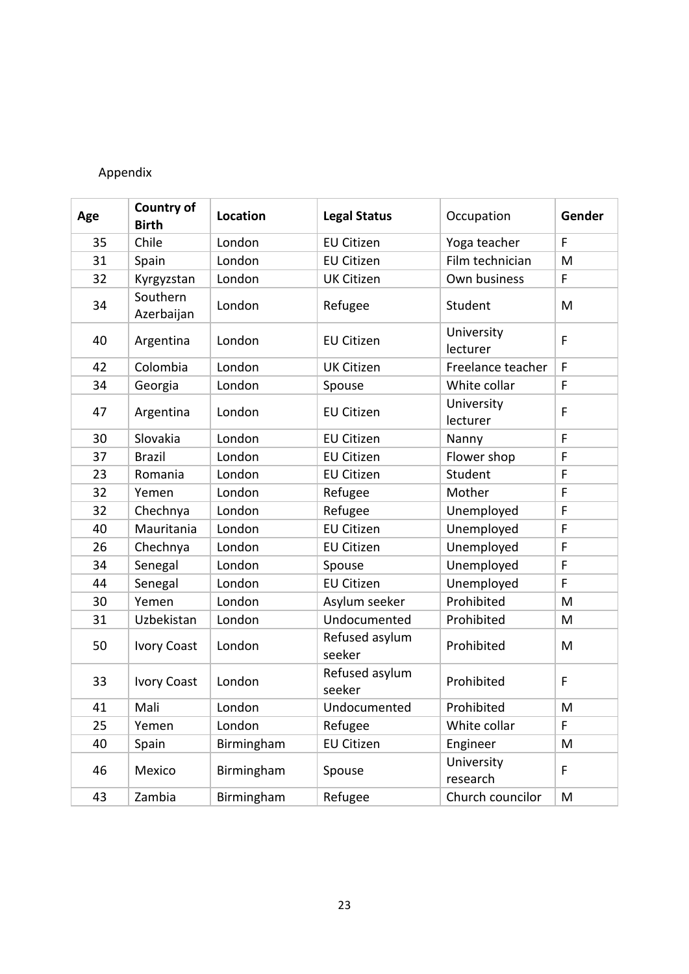# Appendix

| Age | <b>Country of</b><br><b>Birth</b> | Location   | <b>Legal Status</b>      | Occupation             | Gender      |
|-----|-----------------------------------|------------|--------------------------|------------------------|-------------|
| 35  | Chile                             | London     | <b>EU Citizen</b>        | Yoga teacher           | F           |
| 31  | Spain                             | London     | <b>EU Citizen</b>        | Film technician        | M           |
| 32  | Kyrgyzstan                        | London     | <b>UK Citizen</b>        | Own business           | F           |
| 34  | Southern<br>Azerbaijan            | London     | Refugee                  | Student                | M           |
| 40  | Argentina                         | London     | <b>EU Citizen</b>        | University<br>lecturer | F           |
| 42  | Colombia                          | London     | <b>UK Citizen</b>        | Freelance teacher      | $\mathsf F$ |
| 34  | Georgia                           | London     | Spouse                   | White collar           | F           |
| 47  | Argentina                         | London     | <b>EU Citizen</b>        | University<br>lecturer | F           |
| 30  | Slovakia                          | London     | <b>EU Citizen</b>        | Nanny                  | F           |
| 37  | <b>Brazil</b>                     | London     | <b>EU Citizen</b>        | Flower shop            | F           |
| 23  | Romania                           | London     | <b>EU Citizen</b>        | Student                | F           |
| 32  | Yemen                             | London     | Refugee                  | Mother                 | F           |
| 32  | Chechnya                          | London     | Refugee                  | Unemployed             | F           |
| 40  | Mauritania                        | London     | <b>EU Citizen</b>        | Unemployed             | F           |
| 26  | Chechnya                          | London     | <b>EU Citizen</b>        | Unemployed             | F           |
| 34  | Senegal                           | London     | Spouse                   | Unemployed             | F           |
| 44  | Senegal                           | London     | <b>EU Citizen</b>        | Unemployed             | F           |
| 30  | Yemen                             | London     | Asylum seeker            | Prohibited             | M           |
| 31  | Uzbekistan                        | London     | Undocumented             | Prohibited             | M           |
| 50  | <b>Ivory Coast</b>                | London     | Refused asylum<br>seeker | Prohibited             | M           |
| 33  | <b>Ivory Coast</b>                | London     | Refused asylum<br>seeker | Prohibited             | F           |
| 41  | Mali                              | London     | Undocumented             | Prohibited             | M           |
| 25  | Yemen                             | London     | Refugee                  | White collar           | F.          |
| 40  | Spain                             | Birmingham | <b>EU Citizen</b>        | Engineer               | M           |
| 46  | Mexico                            | Birmingham | Spouse                   | University<br>research | F           |
| 43  | Zambia                            | Birmingham | Refugee                  | Church councilor       | M           |